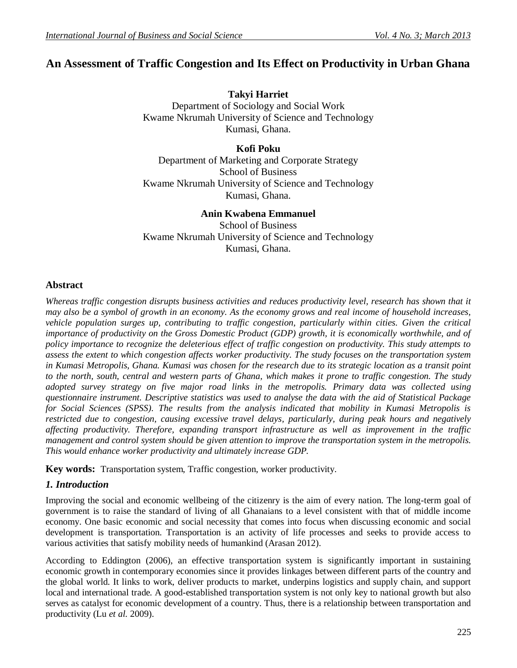# **An Assessment of Traffic Congestion and Its Effect on Productivity in Urban Ghana**

**Takyi Harriet** Department of Sociology and Social Work Kwame Nkrumah University of Science and Technology Kumasi, Ghana.

**Kofi Poku**

Department of Marketing and Corporate Strategy School of Business Kwame Nkrumah University of Science and Technology Kumasi, Ghana.

**Anin Kwabena Emmanuel**

School of Business Kwame Nkrumah University of Science and Technology Kumasi, Ghana.

## **Abstract**

*Whereas traffic congestion disrupts business activities and reduces productivity level, research has shown that it may also be a symbol of growth in an economy. As the economy grows and real income of household increases, vehicle population surges up, contributing to traffic congestion, particularly within cities. Given the critical importance of productivity on the Gross Domestic Product (GDP) growth, it is economically worthwhile, and of policy importance to recognize the deleterious effect of traffic congestion on productivity. This study attempts to assess the extent to which congestion affects worker productivity. The study focuses on the transportation system in Kumasi Metropolis, Ghana. Kumasi was chosen for the research due to its strategic location as a transit point to the north, south, central and western parts of Ghana, which makes it prone to traffic congestion. The study adopted survey strategy on five major road links in the metropolis. Primary data was collected using questionnaire instrument. Descriptive statistics was used to analyse the data with the aid of Statistical Package for Social Sciences (SPSS). The results from the analysis indicated that mobility in Kumasi Metropolis is restricted due to congestion, causing excessive travel delays, particularly, during peak hours and negatively affecting productivity. Therefore, expanding transport infrastructure as well as improvement in the traffic management and control system should be given attention to improve the transportation system in the metropolis. This would enhance worker productivity and ultimately increase GDP.* 

**Key words:** Transportation system, Traffic congestion, worker productivity.

### *1. Introduction*

Improving the social and economic wellbeing of the citizenry is the aim of every nation. The long-term goal of government is to raise the standard of living of all Ghanaians to a level consistent with that of middle income economy. One basic economic and social necessity that comes into focus when discussing economic and social development is transportation. Transportation is an activity of life processes and seeks to provide access to various activities that satisfy mobility needs of humankind (Arasan 2012).

According to Eddington (2006), an effective transportation system is significantly important in sustaining economic growth in contemporary economies since it provides linkages between different parts of the country and the global world. It links to work, deliver products to market, underpins logistics and supply chain, and support local and international trade. A good-established transportation system is not only key to national growth but also serves as catalyst for economic development of a country. Thus, there is a relationship between transportation and productivity (Lu *et al.* 2009).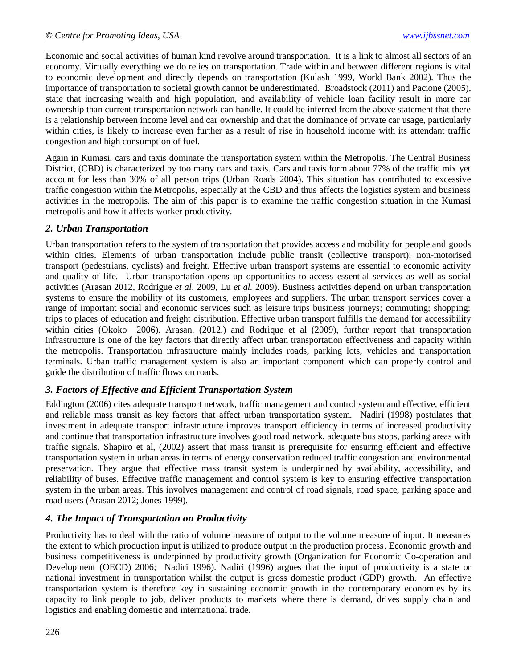Economic and social activities of human kind revolve around transportation. It is a link to almost all sectors of an economy. Virtually everything we do relies on transportation. Trade within and between different regions is vital to economic development and directly depends on transportation (Kulash 1999, World Bank 2002). Thus the importance of transportation to societal growth cannot be underestimated. Broadstock (2011) and Pacione (2005), state that increasing wealth and high population, and availability of vehicle loan facility result in more car ownership than current transportation network can handle. It could be inferred from the above statement that there is a relationship between income level and car ownership and that the dominance of private car usage, particularly within cities, is likely to increase even further as a result of rise in household income with its attendant traffic congestion and high consumption of fuel.

Again in Kumasi, cars and taxis dominate the transportation system within the Metropolis. The Central Business District, (CBD) is characterized by too many cars and taxis. Cars and taxis form about 77% of the traffic mix yet account for less than 30% of all person trips (Urban Roads 2004). This situation has contributed to excessive traffic congestion within the Metropolis, especially at the CBD and thus affects the logistics system and business activities in the metropolis. The aim of this paper is to examine the traffic congestion situation in the Kumasi metropolis and how it affects worker productivity.

## *2. Urban Transportation*

Urban transportation refers to the system of transportation that provides access and mobility for people and goods within cities. Elements of urban transportation include public transit (collective transport); non-motorised transport (pedestrians, cyclists) and freight. Effective urban transport systems are essential to economic activity and quality of life. Urban transportation opens up opportunities to access essential services as well as social activities (Arasan 2012, Rodrigue *et al*. 2009, Lu *et al.* 2009). Business activities depend on urban transportation systems to ensure the mobility of its customers, employees and suppliers. The urban transport services cover a range of important social and economic services such as leisure trips business journeys; commuting; shopping; trips to places of education and freight distribution. Effective urban transport fulfills the demand for accessibility within cities (Okoko 2006). Arasan, (2012,) and Rodrique et al (2009), further report that transportation infrastructure is one of the key factors that directly affect urban transportation effectiveness and capacity within the metropolis. Transportation infrastructure mainly includes roads, parking lots, vehicles and transportation terminals. Urban traffic management system is also an important component which can properly control and guide the distribution of traffic flows on roads.

## *3. Factors of Effective and Efficient Transportation System*

Eddington (2006) cites adequate transport network, traffic management and control system and effective, efficient and reliable mass transit as key factors that affect urban transportation system. Nadiri (1998) postulates that investment in adequate transport infrastructure improves transport efficiency in terms of increased productivity and continue that transportation infrastructure involves good road network, adequate bus stops, parking areas with traffic signals. Shapiro et al, (2002) assert that mass transit is prerequisite for ensuring efficient and effective transportation system in urban areas in terms of energy conservation reduced traffic congestion and environmental preservation. They argue that effective mass transit system is underpinned by availability, accessibility, and reliability of buses. Effective traffic management and control system is key to ensuring effective transportation system in the urban areas. This involves management and control of road signals, road space, parking space and road users (Arasan 2012; Jones 1999).

## *4. The Impact of Transportation on Productivity*

Productivity has to deal with the ratio of volume measure of output to the volume measure of input. It measures the extent to which production input is utilized to produce output in the production process. Economic growth and business competitiveness is underpinned by productivity growth (Organization for Economic Co-operation and Development (OECD) 2006; Nadiri 1996). Nadiri (1996) argues that the input of productivity is a state or national investment in transportation whilst the output is gross domestic product (GDP) growth. An effective transportation system is therefore key in sustaining economic growth in the contemporary economies by its capacity to link people to job, deliver products to markets where there is demand, drives supply chain and logistics and enabling domestic and international trade.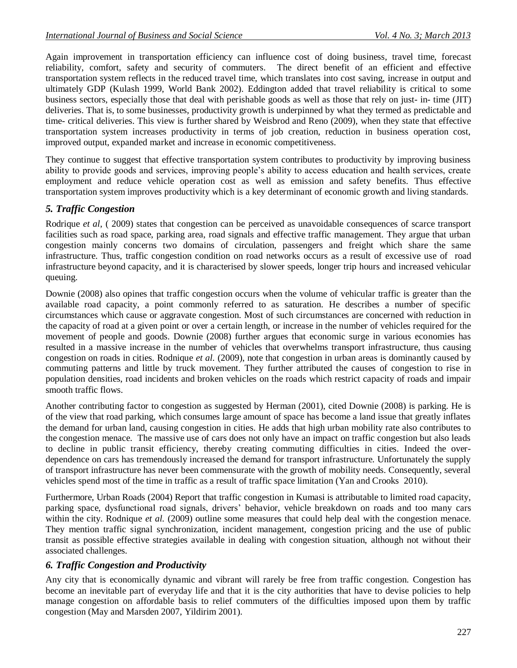Again improvement in transportation efficiency can influence cost of doing business, travel time, forecast reliability, comfort, safety and security of commuters. The direct benefit of an efficient and effective transportation system reflects in the reduced travel time, which translates into cost saving, increase in output and ultimately GDP (Kulash 1999, World Bank 2002). Eddington added that travel reliability is critical to some business sectors, especially those that deal with perishable goods as well as those that rely on just- in- time (JIT) deliveries. That is, to some businesses, productivity growth is underpinned by what they termed as predictable and time- critical deliveries. This view is further shared by Weisbrod and Reno (2009), when they state that effective transportation system increases productivity in terms of job creation, reduction in business operation cost, improved output, expanded market and increase in economic competitiveness.

They continue to suggest that effective transportation system contributes to productivity by improving business ability to provide goods and services, improving people's ability to access education and health services, create employment and reduce vehicle operation cost as well as emission and safety benefits. Thus effective transportation system improves productivity which is a key determinant of economic growth and living standards.

## *5. Traffic Congestion*

Rodrique *et al*, ( 2009) states that congestion can be perceived as unavoidable consequences of scarce transport facilities such as road space, parking area, road signals and effective traffic management. They argue that urban congestion mainly concerns two domains of circulation, passengers and freight which share the same infrastructure. Thus, traffic congestion condition on road networks occurs as a result of excessive use of road infrastructure beyond capacity, and it is characterised by slower speeds, longer trip hours and increased vehicular queuing.

Downie (2008) also opines that traffic congestion occurs when the volume of vehicular traffic is greater than the available road capacity, a point commonly referred to as saturation. He describes a number of specific circumstances which cause or aggravate congestion. Most of such circumstances are concerned with reduction in the capacity of road at a given point or over a certain length, or increase in the number of vehicles required for the movement of people and goods. Downie (2008) further argues that economic surge in various economies has resulted in a massive increase in the number of vehicles that overwhelms transport infrastructure, thus causing congestion on roads in cities. Rodnique *et al.* (2009), note that congestion in urban areas is dominantly caused by commuting patterns and little by truck movement. They further attributed the causes of congestion to rise in population densities, road incidents and broken vehicles on the roads which restrict capacity of roads and impair smooth traffic flows.

Another contributing factor to congestion as suggested by Herman (2001), cited Downie (2008) is parking. He is of the view that road parking, which consumes large amount of space has become a land issue that greatly inflates the demand for urban land, causing congestion in cities. He adds that high urban mobility rate also contributes to the congestion menace. The massive use of cars does not only have an impact on traffic congestion but also leads to decline in public transit efficiency, thereby creating commuting difficulties in cities. Indeed the overdependence on cars has tremendously increased the demand for transport infrastructure. Unfortunately the supply of transport infrastructure has never been commensurate with the growth of mobility needs. Consequently, several vehicles spend most of the time in traffic as a result of traffic space limitation (Yan and Crooks 2010).

Furthermore, Urban Roads (2004) Report that traffic congestion in Kumasi is attributable to limited road capacity, parking space, dysfunctional road signals, drivers' behavior, vehicle breakdown on roads and too many cars within the city. Rodnique *et al.* (2009) outline some measures that could help deal with the congestion menace. They mention traffic signal synchronization, incident management, congestion pricing and the use of public transit as possible effective strategies available in dealing with congestion situation, although not without their associated challenges.

### *6. Traffic Congestion and Productivity*

Any city that is economically dynamic and vibrant will rarely be free from traffic congestion. Congestion has become an inevitable part of everyday life and that it is the city authorities that have to devise policies to help manage congestion on affordable basis to relief commuters of the difficulties imposed upon them by traffic congestion (May and Marsden 2007, Yildirim 2001).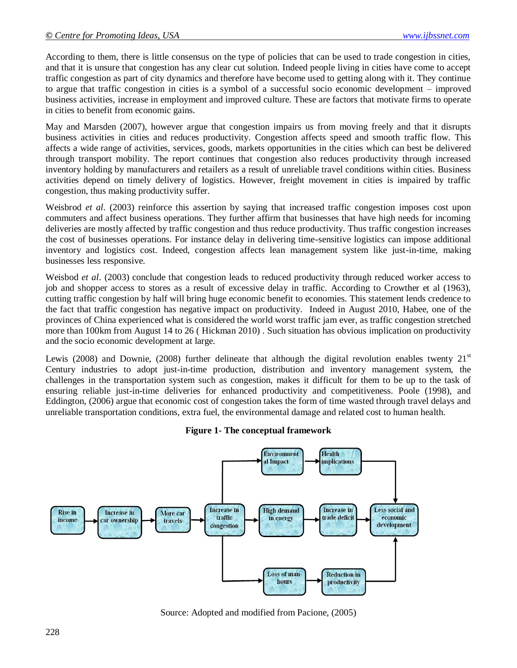According to them, there is little consensus on the type of policies that can be used to trade congestion in cities, and that it is unsure that congestion has any clear cut solution. Indeed people living in cities have come to accept traffic congestion as part of city dynamics and therefore have become used to getting along with it. They continue to argue that traffic congestion in cities is a symbol of a successful socio economic development – improved business activities, increase in employment and improved culture. These are factors that motivate firms to operate in cities to benefit from economic gains.

May and Marsden (2007), however argue that congestion impairs us from moving freely and that it disrupts business activities in cities and reduces productivity. Congestion affects speed and smooth traffic flow. This affects a wide range of activities, services, goods, markets opportunities in the cities which can best be delivered through transport mobility. The report continues that congestion also reduces productivity through increased inventory holding by manufacturers and retailers as a result of unreliable travel conditions within cities. Business activities depend on timely delivery of logistics. However, freight movement in cities is impaired by traffic congestion, thus making productivity suffer.

Weisbrod *et al.* (2003) reinforce this assertion by saying that increased traffic congestion imposes cost upon commuters and affect business operations. They further affirm that businesses that have high needs for incoming deliveries are mostly affected by traffic congestion and thus reduce productivity. Thus traffic congestion increases the cost of businesses operations. For instance delay in delivering time-sensitive logistics can impose additional inventory and logistics cost. Indeed, congestion affects lean management system like just-in-time, making businesses less responsive.

Weisbod *et al.* (2003) conclude that congestion leads to reduced productivity through reduced worker access to job and shopper access to stores as a result of excessive delay in traffic. According to Crowther et al (1963), cutting traffic congestion by half will bring huge economic benefit to economies. This statement lends credence to the fact that traffic congestion has negative impact on productivity. Indeed in August 2010, Habee, one of the provinces of China experienced what is considered the world worst traffic jam ever, as traffic congestion stretched more than 100km from August 14 to 26 ( Hickman 2010) . Such situation has obvious implication on productivity and the socio economic development at large.

Lewis (2008) and Downie, (2008) further delineate that although the digital revolution enables twenty  $21<sup>st</sup>$ Century industries to adopt just-in-time production, distribution and inventory management system, the challenges in the transportation system such as congestion, makes it difficult for them to be up to the task of ensuring reliable just-in-time deliveries for enhanced productivity and competitiveness. Poole (1998), and Eddington, (2006) argue that economic cost of congestion takes the form of time wasted through travel delays and unreliable transportation conditions, extra fuel, the environmental damage and related cost to human health.

#### **Figure 1- The conceptual framework**



Source: Adopted and modified from Pacione, (2005)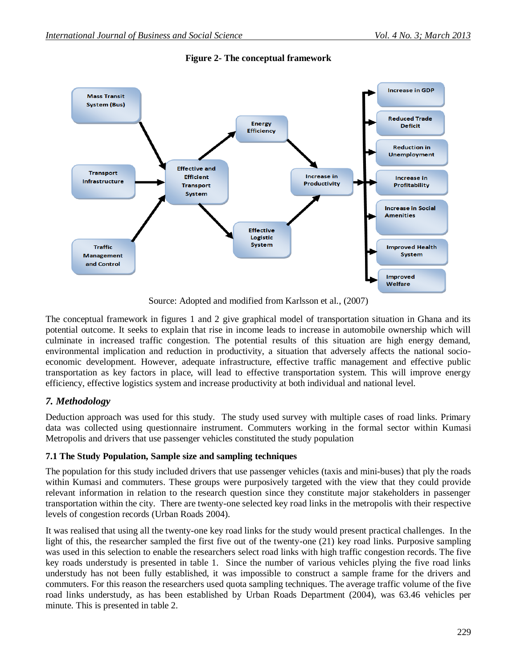

**Figure 2- The conceptual framework**

Source: Adopted and modified from Karlsson et al., (2007)

The conceptual framework in figures 1 and 2 give graphical model of transportation situation in Ghana and its potential outcome. It seeks to explain that rise in income leads to increase in automobile ownership which will culminate in increased traffic congestion. The potential results of this situation are high energy demand, environmental implication and reduction in productivity, a situation that adversely affects the national socioeconomic development. However, adequate infrastructure, effective traffic management and effective public transportation as key factors in place, will lead to effective transportation system. This will improve energy efficiency, effective logistics system and increase productivity at both individual and national level.

## *7. Methodology*

Deduction approach was used for this study. The study used survey with multiple cases of road links. Primary data was collected using questionnaire instrument. Commuters working in the formal sector within Kumasi Metropolis and drivers that use passenger vehicles constituted the study population

### **7.1 The Study Population, Sample size and sampling techniques**

The population for this study included drivers that use passenger vehicles (taxis and mini-buses) that ply the roads within Kumasi and commuters. These groups were purposively targeted with the view that they could provide relevant information in relation to the research question since they constitute major stakeholders in passenger transportation within the city. There are twenty-one selected key road links in the metropolis with their respective levels of congestion records (Urban Roads 2004).

It was realised that using all the twenty-one key road links for the study would present practical challenges. In the light of this, the researcher sampled the first five out of the twenty-one (21) key road links. Purposive sampling was used in this selection to enable the researchers select road links with high traffic congestion records. The five key roads understudy is presented in table 1. Since the number of various vehicles plying the five road links understudy has not been fully established, it was impossible to construct a sample frame for the drivers and commuters. For this reason the researchers used quota sampling techniques. The average traffic volume of the five road links understudy, as has been established by Urban Roads Department (2004), was 63.46 vehicles per minute. This is presented in table 2.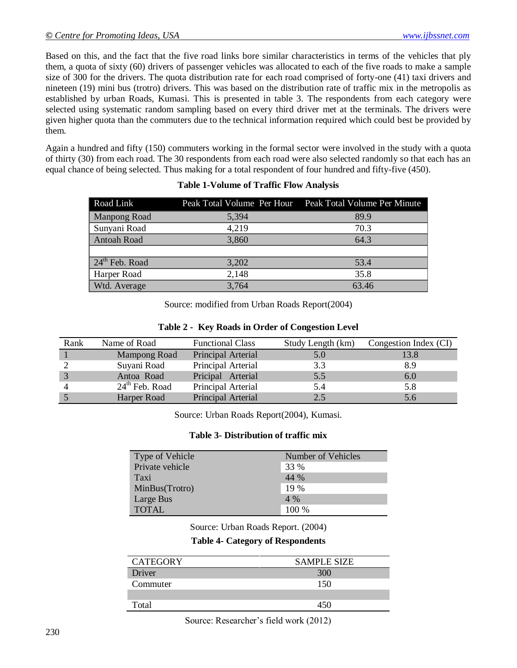Based on this, and the fact that the five road links bore similar characteristics in terms of the vehicles that ply them, a quota of sixty (60) drivers of passenger vehicles was allocated to each of the five roads to make a sample size of 300 for the drivers. The quota distribution rate for each road comprised of forty-one (41) taxi drivers and nineteen (19) mini bus (trotro) drivers. This was based on the distribution rate of traffic mix in the metropolis as established by urban Roads, Kumasi. This is presented in table 3. The respondents from each category were selected using systematic random sampling based on every third driver met at the terminals. The drivers were given higher quota than the commuters due to the technical information required which could best be provided by them.

Again a hundred and fifty (150) commuters working in the formal sector were involved in the study with a quota of thirty (30) from each road. The 30 respondents from each road were also selected randomly so that each has an equal chance of being selected. Thus making for a total respondent of four hundred and fifty-five (450).

| Road Link          |       | Peak Total Volume Per Hour Peak Total Volume Per Minute |
|--------------------|-------|---------------------------------------------------------|
| Manpong Road       | 5,394 | 89.9                                                    |
| Sunyani Road       | 4,219 | 70.3                                                    |
| <b>Antoah Road</b> | 3,860 | 64.3                                                    |
|                    |       |                                                         |
| $24th$ Feb. Road   | 3,202 | 53.4                                                    |
| Harper Road        | 2,148 | 35.8                                                    |
| Wtd. Average       | 3,764 | 63.46                                                   |

#### **Table 1-Volume of Traffic Flow Analysis**

Source: modified from Urban Roads Report(2004)

|  | Table 2 - Key Roads in Order of Congestion Level |
|--|--------------------------------------------------|
|  |                                                  |

| Rank | Name of Road     | <b>Functional Class</b> | Study Length (km) | Congestion Index (CI) |
|------|------------------|-------------------------|-------------------|-----------------------|
|      | Mampong Road     | Principal Arterial      | 5.0               | 13.8                  |
|      | Suyani Road      | Principal Arterial      | 3.3               | 8.9                   |
|      | Antoa Road       | Pricipal Arterial       | 5.5               | 6.0                   |
|      | $24th$ Feb. Road | Principal Arterial      | 5.4               | 5.8                   |
|      | Harper Road      | Principal Arterial      | 2.5               | 5.6                   |

Source: Urban Roads Report(2004), Kumasi.

#### **Table 3- Distribution of traffic mix**

| Type of Vehicle | Number of Vehicles |
|-----------------|--------------------|
| Private vehicle | 33 %               |
| Taxi            | 44 %               |
| MinBus(Trotro)  | 19 %               |
| Large Bus       | $4\%$              |
| <b>TOTAL</b>    | 100 %              |

Source: Urban Roads Report. (2004)

**Table 4- Category of Respondents**

| <b>CATEGORY</b> | <b>SAMPLE SIZE</b> |
|-----------------|--------------------|
| Driver          | 300                |
| Commuter        | 150                |
|                 |                    |
| Total           | 45∩                |

Source: Researcher's field work (2012)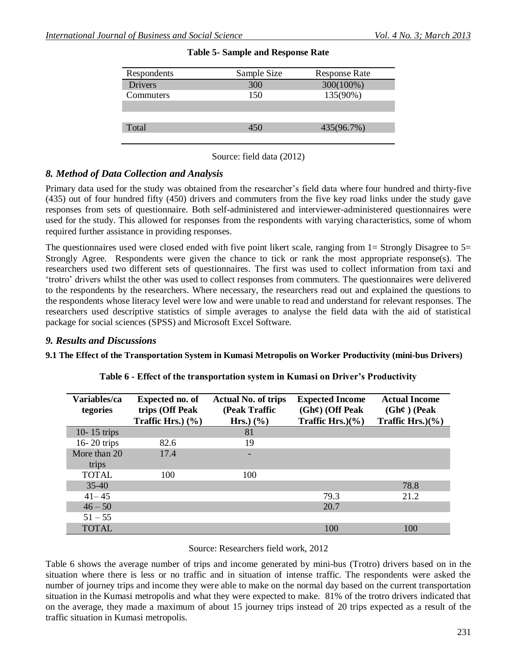| Respondents      | Sample Size | <b>Response Rate</b> |
|------------------|-------------|----------------------|
| <b>Drivers</b>   | 300         | 300(100%)            |
| <b>Commuters</b> | 150         | 135(90%)             |
|                  |             |                      |
|                  |             |                      |
| Total            | 450         | 435(96.7%)           |
|                  |             |                      |

#### **Table 5- Sample and Response Rate**

Source: field data (2012)

## *8. Method of Data Collection and Analysis*

Primary data used for the study was obtained from the researcher's field data where four hundred and thirty-five (435) out of four hundred fifty (450) drivers and commuters from the five key road links under the study gave responses from sets of questionnaire. Both self-administered and interviewer-administered questionnaires were used for the study. This allowed for responses from the respondents with varying characteristics, some of whom required further assistance in providing responses.

The questionnaires used were closed ended with five point likert scale, ranging from  $1=$  Strongly Disagree to  $5=$ Strongly Agree. Respondents were given the chance to tick or rank the most appropriate response(s). The researchers used two different sets of questionnaires. The first was used to collect information from taxi and 'trotro' drivers whilst the other was used to collect responses from commuters. The questionnaires were delivered to the respondents by the researchers. Where necessary, the researchers read out and explained the questions to the respondents whose literacy level were low and were unable to read and understand for relevant responses. The researchers used descriptive statistics of simple averages to analyse the field data with the aid of statistical package for social sciences (SPSS) and Microsoft Excel Software.

### *9. Results and Discussions*

### **9.1 The Effect of the Transportation System in Kumasi Metropolis on Worker Productivity (mini-bus Drivers)**

| Variables/ca<br>tegories | <b>Expected no. of</b><br>trips (Off Peak<br>Traffic Hrs. $(%)$ | <b>Actual No. of trips</b><br>(Peak Traffic<br>Hrs. $(\%)$ | <b>Expected Income</b><br>$(Gh\mathcal{C})$ (Off Peak<br>Traffic Hrs. $)(\%)$ | <b>Actual Income</b><br>$(Gh\mathcal{C})$ (Peak<br>Traffic Hrs. $)(\%)$ |
|--------------------------|-----------------------------------------------------------------|------------------------------------------------------------|-------------------------------------------------------------------------------|-------------------------------------------------------------------------|
| 10-15 trips              |                                                                 | 81                                                         |                                                                               |                                                                         |
| $16 - 20$ trips          | 82.6                                                            | 19                                                         |                                                                               |                                                                         |
| More than 20<br>trips    | 17.4                                                            |                                                            |                                                                               |                                                                         |
| <b>TOTAL</b>             | 100                                                             | 100                                                        |                                                                               |                                                                         |
| $35-40$                  |                                                                 |                                                            |                                                                               | 78.8                                                                    |
| $41 - 45$                |                                                                 |                                                            | 79.3                                                                          | 21.2                                                                    |
| $46 - 50$                |                                                                 |                                                            | 20.7                                                                          |                                                                         |
| $51 - 55$                |                                                                 |                                                            |                                                                               |                                                                         |
| <b>TOTAL</b>             |                                                                 |                                                            | 100                                                                           | 100                                                                     |

### **Table 6 - Effect of the transportation system in Kumasi on Driver's Productivity**

#### Source: Researchers field work, 2012

Table 6 shows the average number of trips and income generated by mini-bus (Trotro) drivers based on in the situation where there is less or no traffic and in situation of intense traffic. The respondents were asked the number of journey trips and income they were able to make on the normal day based on the current transportation situation in the Kumasi metropolis and what they were expected to make. 81% of the trotro drivers indicated that on the average, they made a maximum of about 15 journey trips instead of 20 trips expected as a result of the traffic situation in Kumasi metropolis.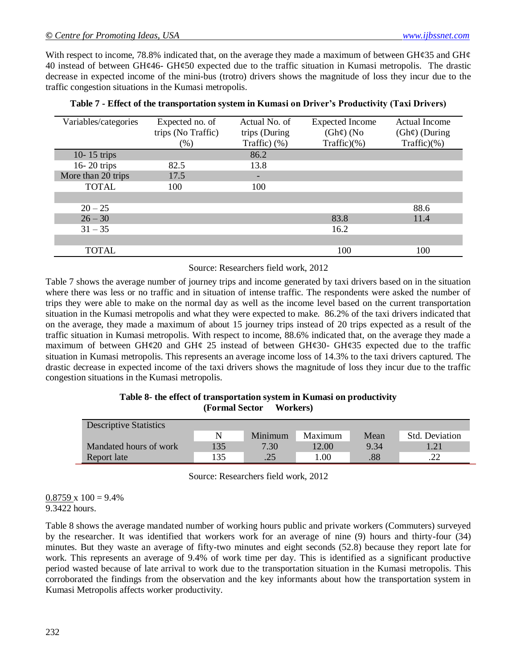With respect to income, 78.8% indicated that, on the average they made a maximum of between GH $\epsilon$ 35 and GH $\epsilon$ 40 instead of between GH $\varphi$ 46- GH $\varphi$ 50 expected due to the traffic situation in Kumasi metropolis. The drastic decrease in expected income of the mini-bus (trotro) drivers shows the magnitude of loss they incur due to the traffic congestion situations in the Kumasi metropolis.

| Variables/categories | Expected no. of    | Actual No. of       | <b>Expected Income</b> | <b>Actual Income</b> |
|----------------------|--------------------|---------------------|------------------------|----------------------|
|                      | trips (No Traffic) | trips (During       | $(Gh\phi)$ (No         | $(Gh\phi)$ (During   |
|                      | (% )               | Traffic $)$ $(\% )$ | Traffic)(%             | Traffic $)(\% )$     |
| 10-15 trips          |                    | 86.2                |                        |                      |
| $16 - 20$ trips      | 82.5               | 13.8                |                        |                      |
| More than 20 trips   | 17.5               |                     |                        |                      |
| <b>TOTAL</b>         | 100                | 100                 |                        |                      |
|                      |                    |                     |                        |                      |
| $20 - 25$            |                    |                     |                        | 88.6                 |
| $26 - 30$            |                    |                     | 83.8                   | 11.4                 |
| $31 - 35$            |                    |                     | 16.2                   |                      |
|                      |                    |                     |                        |                      |
| <b>TOTAL</b>         |                    |                     | 100                    | 100                  |

|  | Table 7 - Effect of the transportation system in Kumasi on Driver's Productivity (Taxi Drivers) |  |  |  |  |
|--|-------------------------------------------------------------------------------------------------|--|--|--|--|
|--|-------------------------------------------------------------------------------------------------|--|--|--|--|

#### Source: Researchers field work, 2012

Table 7 shows the average number of journey trips and income generated by taxi drivers based on in the situation where there was less or no traffic and in situation of intense traffic. The respondents were asked the number of trips they were able to make on the normal day as well as the income level based on the current transportation situation in the Kumasi metropolis and what they were expected to make. 86.2% of the taxi drivers indicated that on the average, they made a maximum of about 15 journey trips instead of 20 trips expected as a result of the traffic situation in Kumasi metropolis. With respect to income, 88.6% indicated that, on the average they made a maximum of between GH $\varphi$ 20 and GH $\varphi$  25 instead of between GH $\varphi$ 30- GH $\varphi$ 35 expected due to the traffic situation in Kumasi metropolis. This represents an average income loss of 14.3% to the taxi drivers captured. The drastic decrease in expected income of the taxi drivers shows the magnitude of loss they incur due to the traffic congestion situations in the Kumasi metropolis.

| Table 8- the effect of transportation system in Kumasi on productivity |          |
|------------------------------------------------------------------------|----------|
| <b>(Formal Sector)</b>                                                 | Workers) |

| <b>Descriptive Statistics</b> |     |         |         |      |                |
|-------------------------------|-----|---------|---------|------|----------------|
|                               | N   | Minimum | Maximum | Mean | Std. Deviation |
| Mandated hours of work        | 135 | 7.30    | 12.00   | 9.34 | 1.21           |
| Report late                   | 135 | .25     | 00.1    | .88  | . 22           |

Source: Researchers field work, 2012

 $0.8759 \times 100 = 9.4\%$ 9.3422 hours.

Table 8 shows the average mandated number of working hours public and private workers (Commuters) surveyed by the researcher. It was identified that workers work for an average of nine (9) hours and thirty-four (34) minutes. But they waste an average of fifty-two minutes and eight seconds (52.8) because they report late for work. This represents an average of 9.4% of work time per day. This is identified as a significant productive period wasted because of late arrival to work due to the transportation situation in the Kumasi metropolis. This corroborated the findings from the observation and the key informants about how the transportation system in Kumasi Metropolis affects worker productivity.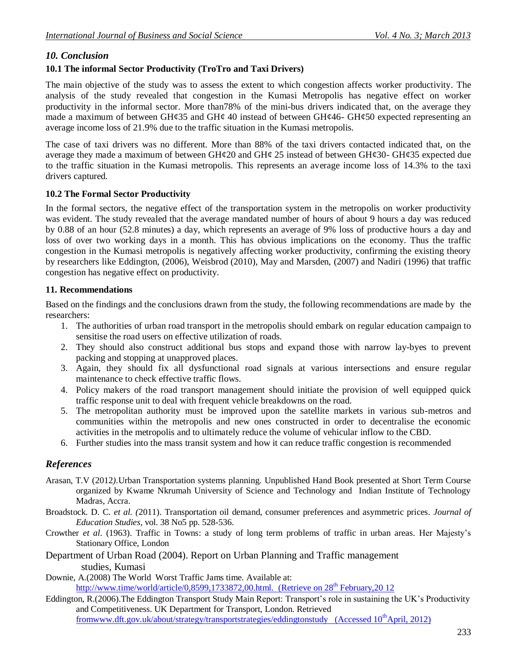## *10. Conclusion*

## **10.1 The informal Sector Productivity (TroTro and Taxi Drivers)**

The main objective of the study was to assess the extent to which congestion affects worker productivity. The analysis of the study revealed that congestion in the Kumasi Metropolis has negative effect on worker productivity in the informal sector. More than78% of the mini-bus drivers indicated that, on the average they made a maximum of between GH¢35 and GH¢ 40 instead of between GH¢46- GH¢50 expected representing an average income loss of 21.9% due to the traffic situation in the Kumasi metropolis.

The case of taxi drivers was no different. More than 88% of the taxi drivers contacted indicated that, on the average they made a maximum of between GH $\varphi$ 20 and GH $\varphi$ 25 instead of between GH $\varphi$ 30- GH $\varphi$ 35 expected due to the traffic situation in the Kumasi metropolis. This represents an average income loss of 14.3% to the taxi drivers captured.

### **10.2 The Formal Sector Productivity**

In the formal sectors, the negative effect of the transportation system in the metropolis on worker productivity was evident. The study revealed that the average mandated number of hours of about 9 hours a day was reduced by 0.88 of an hour (52.8 minutes) a day, which represents an average of 9% loss of productive hours a day and loss of over two working days in a month. This has obvious implications on the economy. Thus the traffic congestion in the Kumasi metropolis is negatively affecting worker productivity, confirming the existing theory by researchers like Eddington, (2006), Weisbrod (2010), May and Marsden, (2007) and Nadiri (1996) that traffic congestion has negative effect on productivity.

#### **11. Recommendations**

Based on the findings and the conclusions drawn from the study, the following recommendations are made by the researchers:

- 1. The authorities of urban road transport in the metropolis should embark on regular education campaign to sensitise the road users on effective utilization of roads.
- 2. They should also construct additional bus stops and expand those with narrow lay-byes to prevent packing and stopping at unapproved places.
- 3. Again, they should fix all dysfunctional road signals at various intersections and ensure regular maintenance to check effective traffic flows.
- 4. Policy makers of the road transport management should initiate the provision of well equipped quick traffic response unit to deal with frequent vehicle breakdowns on the road.
- 5. The metropolitan authority must be improved upon the satellite markets in various sub-metros and communities within the metropolis and new ones constructed in order to decentralise the economic activities in the metropolis and to ultimately reduce the volume of vehicular inflow to the CBD.
- 6. Further studies into the mass transit system and how it can reduce traffic congestion is recommended

## *References*

- Arasan, T.V (2012*).*Urban Transportation systems planning. Unpublished Hand Book presented at Short Term Course organized by Kwame Nkrumah University of Science and Technology and Indian Institute of Technology Madras, Accra.
- Broadstock. D. C. *et al. (*2011). Transportation oil demand, consumer preferences and asymmetric prices*. Journal of Education Studies*, vol. 38 No5 pp. 528-536.
- Crowther *et al*. (1963). Traffic in Towns: a study of long term problems of traffic in urban areas. Her Majesty's Stationary Office, London
- Department of Urban Road (2004). Report on Urban Planning and Traffic management studies, Kumasi
- Downie, A.(2008) The World Worst Traffic Jams time. Available at: http://www.time/world/article/0,8599,1733872,00.html. (Retrieve on  $28<sup>th</sup>$  February, 20 12
- Eddington, R.(2006).The Eddington Transport Study Main Report: Transport's role in sustaining the UK's Productivity and Competitiveness. UK Department for Transport, London. Retrieved fromwww.dft.gov.uk/about/strategy/transportstrategies/eddingtonstudy (Accessed 10<sup>th</sup>April, 2012)